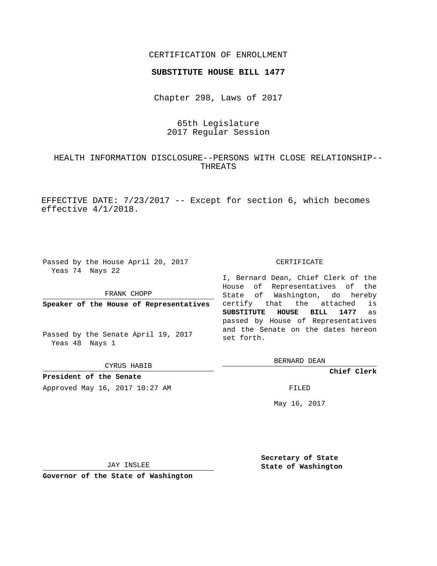### CERTIFICATION OF ENROLLMENT

#### **SUBSTITUTE HOUSE BILL 1477**

Chapter 298, Laws of 2017

# 65th Legislature 2017 Regular Session

## HEALTH INFORMATION DISCLOSURE--PERSONS WITH CLOSE RELATIONSHIP-- THREATS

EFFECTIVE DATE: 7/23/2017 -- Except for section 6, which becomes effective 4/1/2018.

Passed by the House April 20, 2017 Yeas 74 Nays 22

FRANK CHOPP

**Speaker of the House of Representatives**

Passed by the Senate April 19, 2017 Yeas 48 Nays 1

CYRUS HABIB

**President of the Senate** Approved May 16, 2017 10:27 AM FILED

#### CERTIFICATE

I, Bernard Dean, Chief Clerk of the House of Representatives of the State of Washington, do hereby certify that the attached is **SUBSTITUTE HOUSE BILL 1477** as passed by House of Representatives and the Senate on the dates hereon set forth.

BERNARD DEAN

**Chief Clerk**

May 16, 2017

JAY INSLEE

**Governor of the State of Washington**

**Secretary of State State of Washington**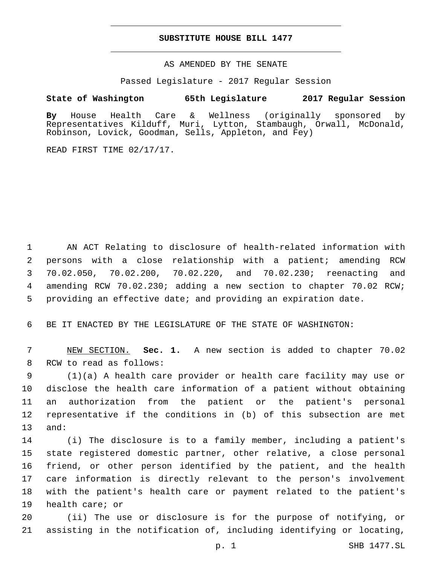#### **SUBSTITUTE HOUSE BILL 1477**

AS AMENDED BY THE SENATE

Passed Legislature - 2017 Regular Session

## **State of Washington 65th Legislature 2017 Regular Session**

**By** House Health Care & Wellness (originally sponsored by Representatives Kilduff, Muri, Lytton, Stambaugh, Orwall, McDonald, Robinson, Lovick, Goodman, Sells, Appleton, and Fey)

READ FIRST TIME 02/17/17.

 AN ACT Relating to disclosure of health-related information with persons with a close relationship with a patient; amending RCW 70.02.050, 70.02.200, 70.02.220, and 70.02.230; reenacting and amending RCW 70.02.230; adding a new section to chapter 70.02 RCW; providing an effective date; and providing an expiration date.

6 BE IT ENACTED BY THE LEGISLATURE OF THE STATE OF WASHINGTON:

7 NEW SECTION. **Sec. 1.** A new section is added to chapter 70.02 8 RCW to read as follows:

 (1)(a) A health care provider or health care facility may use or disclose the health care information of a patient without obtaining an authorization from the patient or the patient's personal representative if the conditions in (b) of this subsection are met 13 and:

 (i) The disclosure is to a family member, including a patient's state registered domestic partner, other relative, a close personal friend, or other person identified by the patient, and the health care information is directly relevant to the person's involvement with the patient's health care or payment related to the patient's 19 health care; or

20 (ii) The use or disclosure is for the purpose of notifying, or 21 assisting in the notification of, including identifying or locating,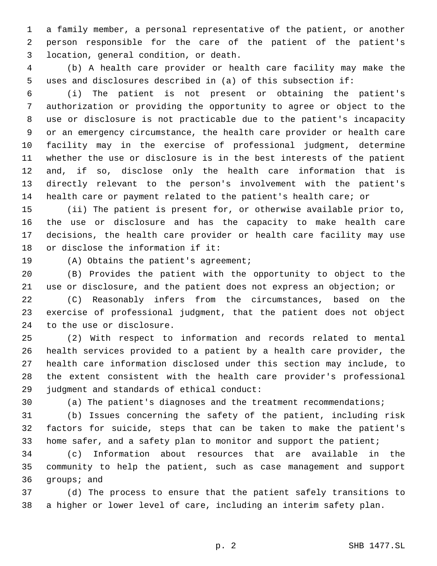a family member, a personal representative of the patient, or another person responsible for the care of the patient of the patient's location, general condition, or death.3

 (b) A health care provider or health care facility may make the uses and disclosures described in (a) of this subsection if:

 (i) The patient is not present or obtaining the patient's authorization or providing the opportunity to agree or object to the use or disclosure is not practicable due to the patient's incapacity or an emergency circumstance, the health care provider or health care facility may in the exercise of professional judgment, determine whether the use or disclosure is in the best interests of the patient and, if so, disclose only the health care information that is directly relevant to the person's involvement with the patient's health care or payment related to the patient's health care; or

 (ii) The patient is present for, or otherwise available prior to, the use or disclosure and has the capacity to make health care decisions, the health care provider or health care facility may use or disclose the information if it:

19 (A) Obtains the patient's agreement;

 (B) Provides the patient with the opportunity to object to the use or disclosure, and the patient does not express an objection; or

 (C) Reasonably infers from the circumstances, based on the exercise of professional judgment, that the patient does not object 24 to the use or disclosure.

 (2) With respect to information and records related to mental health services provided to a patient by a health care provider, the health care information disclosed under this section may include, to the extent consistent with the health care provider's professional 29 judgment and standards of ethical conduct:

(a) The patient's diagnoses and the treatment recommendations;

 (b) Issues concerning the safety of the patient, including risk factors for suicide, steps that can be taken to make the patient's 33 home safer, and a safety plan to monitor and support the patient;

 (c) Information about resources that are available in the community to help the patient, such as case management and support 36 groups; and

 (d) The process to ensure that the patient safely transitions to a higher or lower level of care, including an interim safety plan.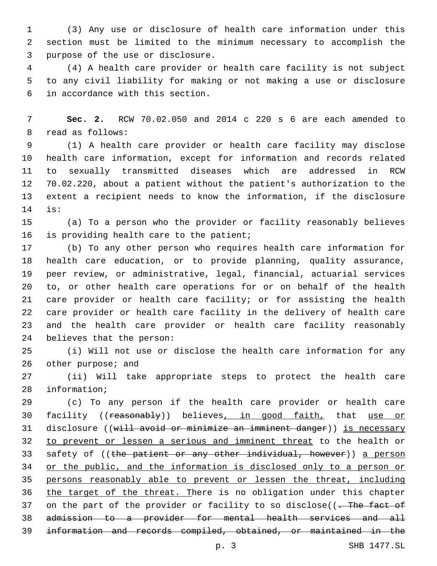(3) Any use or disclosure of health care information under this section must be limited to the minimum necessary to accomplish the 3 purpose of the use or disclosure.

 (4) A health care provider or health care facility is not subject to any civil liability for making or not making a use or disclosure in accordance with this section.6

 **Sec. 2.** RCW 70.02.050 and 2014 c 220 s 6 are each amended to 8 read as follows:

 (1) A health care provider or health care facility may disclose health care information, except for information and records related to sexually transmitted diseases which are addressed in RCW 70.02.220, about a patient without the patient's authorization to the extent a recipient needs to know the information, if the disclosure is:14

 (a) To a person who the provider or facility reasonably believes 16 is providing health care to the patient;

 (b) To any other person who requires health care information for health care education, or to provide planning, quality assurance, peer review, or administrative, legal, financial, actuarial services to, or other health care operations for or on behalf of the health care provider or health care facility; or for assisting the health care provider or health care facility in the delivery of health care and the health care provider or health care facility reasonably 24 believes that the person:

 (i) Will not use or disclose the health care information for any 26 other purpose; and

 (ii) Will take appropriate steps to protect the health care 28 information;

 (c) To any person if the health care provider or health care 30 facility ((reasonably)) believes, in good faith, that use or 31 disclosure ((will avoid or minimize an imminent danger)) is necessary to prevent or lessen a serious and imminent threat to the health or 33 safety of ((the patient or any other individual, however)) a person or the public, and the information is disclosed only to a person or persons reasonably able to prevent or lessen the threat, including the target of the threat. There is no obligation under this chapter 37 on the part of the provider or facility to so disclose((. The fact of admission to a provider for mental health services and all information and records compiled, obtained, or maintained in the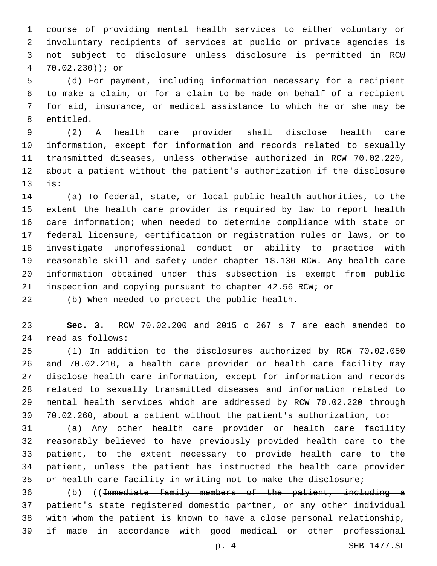course of providing mental health services to either voluntary or involuntary recipients of services at public or private agencies is not subject to disclosure unless disclosure is permitted in RCW 70.02.230)); or4

 (d) For payment, including information necessary for a recipient to make a claim, or for a claim to be made on behalf of a recipient for aid, insurance, or medical assistance to which he or she may be 8 entitled.

 (2) A health care provider shall disclose health care information, except for information and records related to sexually transmitted diseases, unless otherwise authorized in RCW 70.02.220, about a patient without the patient's authorization if the disclosure is:13

 (a) To federal, state, or local public health authorities, to the extent the health care provider is required by law to report health care information; when needed to determine compliance with state or federal licensure, certification or registration rules or laws, or to investigate unprofessional conduct or ability to practice with reasonable skill and safety under chapter 18.130 RCW. Any health care information obtained under this subsection is exempt from public inspection and copying pursuant to chapter 42.56 RCW; or

(b) When needed to protect the public health.

 **Sec. 3.** RCW 70.02.200 and 2015 c 267 s 7 are each amended to read as follows:24

 (1) In addition to the disclosures authorized by RCW 70.02.050 and 70.02.210, a health care provider or health care facility may disclose health care information, except for information and records related to sexually transmitted diseases and information related to mental health services which are addressed by RCW 70.02.220 through 70.02.260, about a patient without the patient's authorization, to:

 (a) Any other health care provider or health care facility reasonably believed to have previously provided health care to the patient, to the extent necessary to provide health care to the patient, unless the patient has instructed the health care provider or health care facility in writing not to make the disclosure;

 (b) ((Immediate family members of the patient, including a patient's state registered domestic partner, or any other individual with whom the patient is known to have a close personal relationship, if made in accordance with good medical or other professional

p. 4 SHB 1477.SL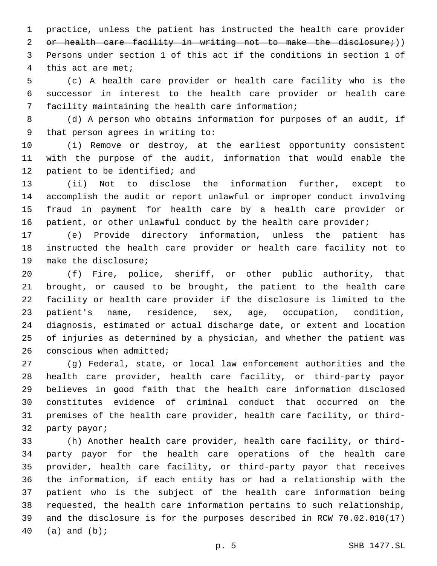practice, unless the patient has instructed the health care provider 2 or health care facility in writing not to make the disclosure;)) Persons under section 1 of this act if the conditions in section 1 of this act are met;

 (c) A health care provider or health care facility who is the successor in interest to the health care provider or health care facility maintaining the health care information;7

 (d) A person who obtains information for purposes of an audit, if 9 that person agrees in writing to:

 (i) Remove or destroy, at the earliest opportunity consistent with the purpose of the audit, information that would enable the 12 patient to be identified; and

 (ii) Not to disclose the information further, except to accomplish the audit or report unlawful or improper conduct involving fraud in payment for health care by a health care provider or 16 patient, or other unlawful conduct by the health care provider;

 (e) Provide directory information, unless the patient has instructed the health care provider or health care facility not to 19 make the disclosure;

 (f) Fire, police, sheriff, or other public authority, that brought, or caused to be brought, the patient to the health care facility or health care provider if the disclosure is limited to the patient's name, residence, sex, age, occupation, condition, diagnosis, estimated or actual discharge date, or extent and location of injuries as determined by a physician, and whether the patient was 26 conscious when admitted;

 (g) Federal, state, or local law enforcement authorities and the health care provider, health care facility, or third-party payor believes in good faith that the health care information disclosed constitutes evidence of criminal conduct that occurred on the premises of the health care provider, health care facility, or third-32 party payor;

 (h) Another health care provider, health care facility, or third- party payor for the health care operations of the health care provider, health care facility, or third-party payor that receives the information, if each entity has or had a relationship with the patient who is the subject of the health care information being requested, the health care information pertains to such relationship, and the disclosure is for the purposes described in RCW 70.02.010(17) 40 (a) and  $(b)$ ;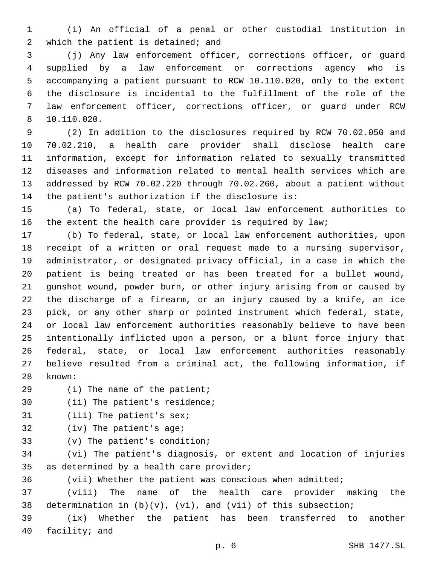(i) An official of a penal or other custodial institution in 2 which the patient is detained; and

 (j) Any law enforcement officer, corrections officer, or guard supplied by a law enforcement or corrections agency who is accompanying a patient pursuant to RCW 10.110.020, only to the extent the disclosure is incidental to the fulfillment of the role of the law enforcement officer, corrections officer, or guard under RCW 10.110.020.8

 (2) In addition to the disclosures required by RCW 70.02.050 and 70.02.210, a health care provider shall disclose health care information, except for information related to sexually transmitted diseases and information related to mental health services which are addressed by RCW 70.02.220 through 70.02.260, about a patient without 14 the patient's authorization if the disclosure is:

 (a) To federal, state, or local law enforcement authorities to the extent the health care provider is required by law;

 (b) To federal, state, or local law enforcement authorities, upon receipt of a written or oral request made to a nursing supervisor, administrator, or designated privacy official, in a case in which the patient is being treated or has been treated for a bullet wound, gunshot wound, powder burn, or other injury arising from or caused by the discharge of a firearm, or an injury caused by a knife, an ice pick, or any other sharp or pointed instrument which federal, state, or local law enforcement authorities reasonably believe to have been intentionally inflicted upon a person, or a blunt force injury that federal, state, or local law enforcement authorities reasonably believe resulted from a criminal act, the following information, if 28 known:

- 29 (i) The name of the patient;
- 30 (ii) The patient's residence;
- 31 (iii) The patient's sex;
- 32 (iv) The patient's age;
- 33 (v) The patient's condition;

 (vi) The patient's diagnosis, or extent and location of injuries 35 as determined by a health care provider;

(vii) Whether the patient was conscious when admitted;

 (viii) The name of the health care provider making the 38 determination in  $(b)(v)$ ,  $(vi)$ , and  $(vii)$  of this subsection;

 (ix) Whether the patient has been transferred to another 40 facility; and

p. 6 SHB 1477.SL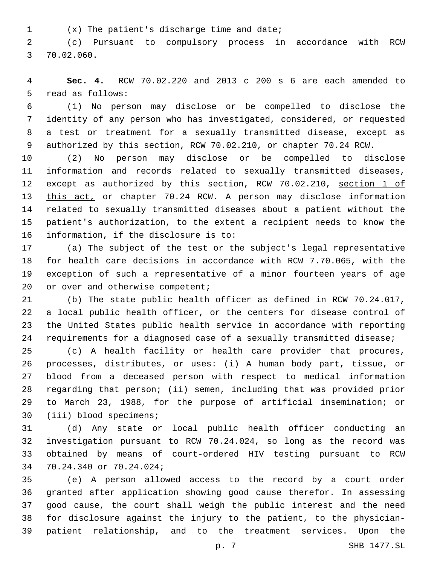(x) The patient's discharge time and date;1

 (c) Pursuant to compulsory process in accordance with RCW 70.02.060.3

 **Sec. 4.** RCW 70.02.220 and 2013 c 200 s 6 are each amended to 5 read as follows:

 (1) No person may disclose or be compelled to disclose the identity of any person who has investigated, considered, or requested a test or treatment for a sexually transmitted disease, except as authorized by this section, RCW 70.02.210, or chapter 70.24 RCW.

 (2) No person may disclose or be compelled to disclose information and records related to sexually transmitted diseases, 12 except as authorized by this section, RCW 70.02.210, section 1 of 13 this act, or chapter 70.24 RCW. A person may disclose information related to sexually transmitted diseases about a patient without the patient's authorization, to the extent a recipient needs to know the 16 information, if the disclosure is to:

 (a) The subject of the test or the subject's legal representative for health care decisions in accordance with RCW 7.70.065, with the exception of such a representative of a minor fourteen years of age 20 or over and otherwise competent;

 (b) The state public health officer as defined in RCW 70.24.017, a local public health officer, or the centers for disease control of the United States public health service in accordance with reporting requirements for a diagnosed case of a sexually transmitted disease;

 (c) A health facility or health care provider that procures, processes, distributes, or uses: (i) A human body part, tissue, or blood from a deceased person with respect to medical information regarding that person; (ii) semen, including that was provided prior to March 23, 1988, for the purpose of artificial insemination; or 30 (iii) blood specimens;

 (d) Any state or local public health officer conducting an investigation pursuant to RCW 70.24.024, so long as the record was obtained by means of court-ordered HIV testing pursuant to RCW 34 70.24.340 or 70.24.024;

 (e) A person allowed access to the record by a court order granted after application showing good cause therefor. In assessing good cause, the court shall weigh the public interest and the need for disclosure against the injury to the patient, to the physician-patient relationship, and to the treatment services. Upon the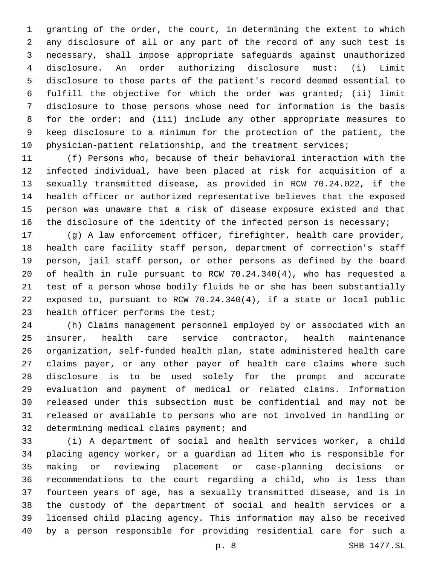granting of the order, the court, in determining the extent to which any disclosure of all or any part of the record of any such test is necessary, shall impose appropriate safeguards against unauthorized disclosure. An order authorizing disclosure must: (i) Limit disclosure to those parts of the patient's record deemed essential to fulfill the objective for which the order was granted; (ii) limit disclosure to those persons whose need for information is the basis for the order; and (iii) include any other appropriate measures to keep disclosure to a minimum for the protection of the patient, the 10 physician-patient relationship, and the treatment services;

 (f) Persons who, because of their behavioral interaction with the infected individual, have been placed at risk for acquisition of a sexually transmitted disease, as provided in RCW 70.24.022, if the health officer or authorized representative believes that the exposed person was unaware that a risk of disease exposure existed and that 16 the disclosure of the identity of the infected person is necessary;

 (g) A law enforcement officer, firefighter, health care provider, health care facility staff person, department of correction's staff person, jail staff person, or other persons as defined by the board of health in rule pursuant to RCW 70.24.340(4), who has requested a test of a person whose bodily fluids he or she has been substantially exposed to, pursuant to RCW 70.24.340(4), if a state or local public 23 health officer performs the test;

 (h) Claims management personnel employed by or associated with an insurer, health care service contractor, health maintenance organization, self-funded health plan, state administered health care claims payer, or any other payer of health care claims where such disclosure is to be used solely for the prompt and accurate evaluation and payment of medical or related claims. Information released under this subsection must be confidential and may not be released or available to persons who are not involved in handling or 32 determining medical claims payment; and

 (i) A department of social and health services worker, a child placing agency worker, or a guardian ad litem who is responsible for making or reviewing placement or case-planning decisions or recommendations to the court regarding a child, who is less than fourteen years of age, has a sexually transmitted disease, and is in the custody of the department of social and health services or a licensed child placing agency. This information may also be received by a person responsible for providing residential care for such a

p. 8 SHB 1477.SL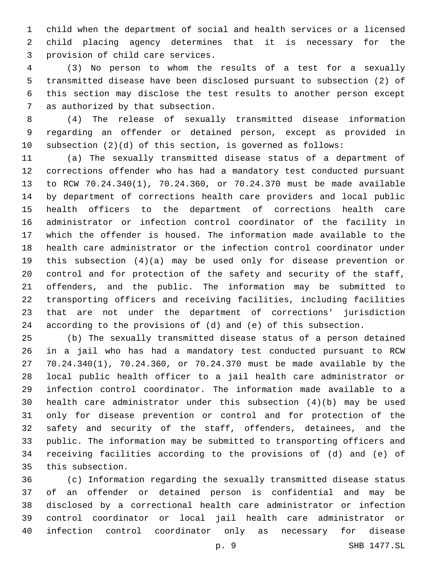child when the department of social and health services or a licensed child placing agency determines that it is necessary for the 3 provision of child care services.

 (3) No person to whom the results of a test for a sexually transmitted disease have been disclosed pursuant to subsection (2) of this section may disclose the test results to another person except 7 as authorized by that subsection.

 (4) The release of sexually transmitted disease information regarding an offender or detained person, except as provided in subsection (2)(d) of this section, is governed as follows:

 (a) The sexually transmitted disease status of a department of corrections offender who has had a mandatory test conducted pursuant to RCW 70.24.340(1), 70.24.360, or 70.24.370 must be made available by department of corrections health care providers and local public health officers to the department of corrections health care administrator or infection control coordinator of the facility in which the offender is housed. The information made available to the health care administrator or the infection control coordinator under this subsection (4)(a) may be used only for disease prevention or control and for protection of the safety and security of the staff, offenders, and the public. The information may be submitted to transporting officers and receiving facilities, including facilities that are not under the department of corrections' jurisdiction according to the provisions of (d) and (e) of this subsection.

 (b) The sexually transmitted disease status of a person detained in a jail who has had a mandatory test conducted pursuant to RCW 70.24.340(1), 70.24.360, or 70.24.370 must be made available by the local public health officer to a jail health care administrator or infection control coordinator. The information made available to a health care administrator under this subsection (4)(b) may be used only for disease prevention or control and for protection of the safety and security of the staff, offenders, detainees, and the public. The information may be submitted to transporting officers and receiving facilities according to the provisions of (d) and (e) of 35 this subsection.

 (c) Information regarding the sexually transmitted disease status of an offender or detained person is confidential and may be disclosed by a correctional health care administrator or infection control coordinator or local jail health care administrator or infection control coordinator only as necessary for disease

p. 9 SHB 1477.SL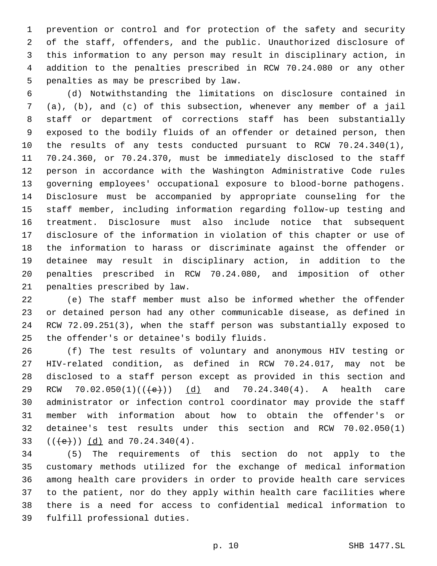prevention or control and for protection of the safety and security of the staff, offenders, and the public. Unauthorized disclosure of this information to any person may result in disciplinary action, in addition to the penalties prescribed in RCW 70.24.080 or any other 5 penalties as may be prescribed by law.

 (d) Notwithstanding the limitations on disclosure contained in (a), (b), and (c) of this subsection, whenever any member of a jail staff or department of corrections staff has been substantially exposed to the bodily fluids of an offender or detained person, then the results of any tests conducted pursuant to RCW 70.24.340(1), 70.24.360, or 70.24.370, must be immediately disclosed to the staff person in accordance with the Washington Administrative Code rules governing employees' occupational exposure to blood-borne pathogens. Disclosure must be accompanied by appropriate counseling for the staff member, including information regarding follow-up testing and treatment. Disclosure must also include notice that subsequent disclosure of the information in violation of this chapter or use of the information to harass or discriminate against the offender or detainee may result in disciplinary action, in addition to the penalties prescribed in RCW 70.24.080, and imposition of other 21 penalties prescribed by law.

 (e) The staff member must also be informed whether the offender or detained person had any other communicable disease, as defined in RCW 72.09.251(3), when the staff person was substantially exposed to 25 the offender's or detainee's bodily fluids.

 (f) The test results of voluntary and anonymous HIV testing or HIV-related condition, as defined in RCW 70.24.017, may not be disclosed to a staff person except as provided in this section and 29 RCW 70.02.050(1)((+e+)) (d) and 70.24.340(4). A health care administrator or infection control coordinator may provide the staff member with information about how to obtain the offender's or detainee's test results under this section and RCW 70.02.050(1)  $((+e))$   $(d)$  and 70.24.340(4).

 (5) The requirements of this section do not apply to the customary methods utilized for the exchange of medical information among health care providers in order to provide health care services to the patient, nor do they apply within health care facilities where there is a need for access to confidential medical information to 39 fulfill professional duties.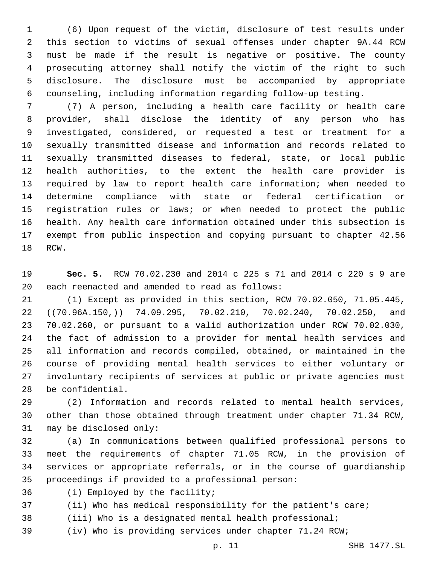(6) Upon request of the victim, disclosure of test results under this section to victims of sexual offenses under chapter 9A.44 RCW must be made if the result is negative or positive. The county prosecuting attorney shall notify the victim of the right to such disclosure. The disclosure must be accompanied by appropriate counseling, including information regarding follow-up testing.

 (7) A person, including a health care facility or health care provider, shall disclose the identity of any person who has investigated, considered, or requested a test or treatment for a sexually transmitted disease and information and records related to sexually transmitted diseases to federal, state, or local public health authorities, to the extent the health care provider is required by law to report health care information; when needed to determine compliance with state or federal certification or registration rules or laws; or when needed to protect the public health. Any health care information obtained under this subsection is exempt from public inspection and copying pursuant to chapter 42.56 18 RCW.

 **Sec. 5.** RCW 70.02.230 and 2014 c 225 s 71 and 2014 c 220 s 9 are 20 each reenacted and amended to read as follows:

 (1) Except as provided in this section, RCW 70.02.050, 71.05.445,  $((70.96A.150.7))$  74.09.295, 70.02.210, 70.02.240, 70.02.250, and 70.02.260, or pursuant to a valid authorization under RCW 70.02.030, the fact of admission to a provider for mental health services and all information and records compiled, obtained, or maintained in the course of providing mental health services to either voluntary or involuntary recipients of services at public or private agencies must 28 be confidential.

 (2) Information and records related to mental health services, other than those obtained through treatment under chapter 71.34 RCW, 31 may be disclosed only:

 (a) In communications between qualified professional persons to meet the requirements of chapter 71.05 RCW, in the provision of services or appropriate referrals, or in the course of guardianship 35 proceedings if provided to a professional person:

- 36 (i) Employed by the facility;
- (ii) Who has medical responsibility for the patient's care;
- (iii) Who is a designated mental health professional;
- (iv) Who is providing services under chapter 71.24 RCW;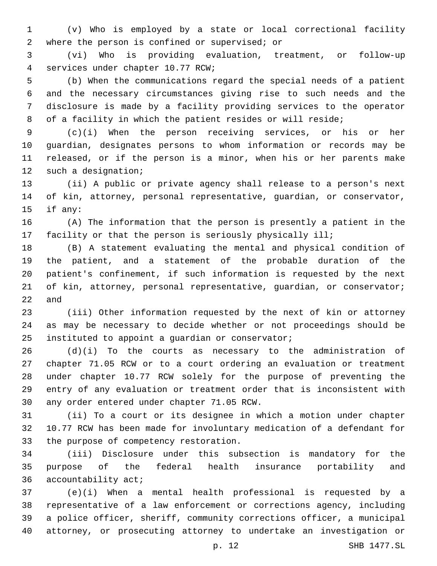(v) Who is employed by a state or local correctional facility 2 where the person is confined or supervised; or

 (vi) Who is providing evaluation, treatment, or follow-up services under chapter 10.77 RCW;4

 (b) When the communications regard the special needs of a patient and the necessary circumstances giving rise to such needs and the disclosure is made by a facility providing services to the operator of a facility in which the patient resides or will reside;

 (c)(i) When the person receiving services, or his or her guardian, designates persons to whom information or records may be released, or if the person is a minor, when his or her parents make 12 such a designation;

 (ii) A public or private agency shall release to a person's next of kin, attorney, personal representative, guardian, or conservator, 15 if any:

 (A) The information that the person is presently a patient in the facility or that the person is seriously physically ill;

 (B) A statement evaluating the mental and physical condition of the patient, and a statement of the probable duration of the patient's confinement, if such information is requested by the next of kin, attorney, personal representative, guardian, or conservator; and

 (iii) Other information requested by the next of kin or attorney as may be necessary to decide whether or not proceedings should be 25 instituted to appoint a guardian or conservator;

 (d)(i) To the courts as necessary to the administration of chapter 71.05 RCW or to a court ordering an evaluation or treatment under chapter 10.77 RCW solely for the purpose of preventing the entry of any evaluation or treatment order that is inconsistent with 30 any order entered under chapter 71.05 RCW.

 (ii) To a court or its designee in which a motion under chapter 10.77 RCW has been made for involuntary medication of a defendant for 33 the purpose of competency restoration.

 (iii) Disclosure under this subsection is mandatory for the purpose of the federal health insurance portability and 36 accountability act;

 (e)(i) When a mental health professional is requested by a representative of a law enforcement or corrections agency, including a police officer, sheriff, community corrections officer, a municipal attorney, or prosecuting attorney to undertake an investigation or

p. 12 SHB 1477.SL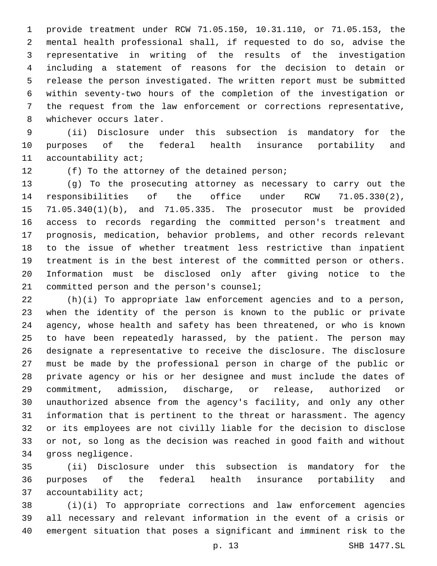provide treatment under RCW 71.05.150, 10.31.110, or 71.05.153, the mental health professional shall, if requested to do so, advise the representative in writing of the results of the investigation including a statement of reasons for the decision to detain or release the person investigated. The written report must be submitted within seventy-two hours of the completion of the investigation or the request from the law enforcement or corrections representative, 8 whichever occurs later.

 (ii) Disclosure under this subsection is mandatory for the purposes of the federal health insurance portability and 11 accountability act;

12 (f) To the attorney of the detained person;

 (g) To the prosecuting attorney as necessary to carry out the responsibilities of the office under RCW 71.05.330(2), 71.05.340(1)(b), and 71.05.335. The prosecutor must be provided access to records regarding the committed person's treatment and prognosis, medication, behavior problems, and other records relevant to the issue of whether treatment less restrictive than inpatient treatment is in the best interest of the committed person or others. Information must be disclosed only after giving notice to the 21 committed person and the person's counsel;

 (h)(i) To appropriate law enforcement agencies and to a person, when the identity of the person is known to the public or private agency, whose health and safety has been threatened, or who is known to have been repeatedly harassed, by the patient. The person may designate a representative to receive the disclosure. The disclosure must be made by the professional person in charge of the public or private agency or his or her designee and must include the dates of commitment, admission, discharge, or release, authorized or unauthorized absence from the agency's facility, and only any other information that is pertinent to the threat or harassment. The agency or its employees are not civilly liable for the decision to disclose or not, so long as the decision was reached in good faith and without 34 gross negligence.

 (ii) Disclosure under this subsection is mandatory for the purposes of the federal health insurance portability and 37 accountability act;

 (i)(i) To appropriate corrections and law enforcement agencies all necessary and relevant information in the event of a crisis or emergent situation that poses a significant and imminent risk to the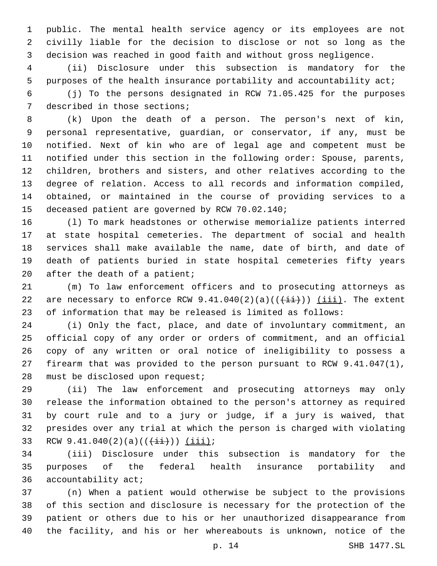public. The mental health service agency or its employees are not civilly liable for the decision to disclose or not so long as the decision was reached in good faith and without gross negligence.

 (ii) Disclosure under this subsection is mandatory for the purposes of the health insurance portability and accountability act;

 (j) To the persons designated in RCW 71.05.425 for the purposes 7 described in those sections;

 (k) Upon the death of a person. The person's next of kin, personal representative, guardian, or conservator, if any, must be notified. Next of kin who are of legal age and competent must be notified under this section in the following order: Spouse, parents, children, brothers and sisters, and other relatives according to the degree of relation. Access to all records and information compiled, obtained, or maintained in the course of providing services to a 15 deceased patient are governed by RCW 70.02.140;

 (l) To mark headstones or otherwise memorialize patients interred at state hospital cemeteries. The department of social and health services shall make available the name, date of birth, and date of death of patients buried in state hospital cemeteries fifty years 20 after the death of a patient;

 (m) To law enforcement officers and to prosecuting attorneys as 22 are necessary to enforce RCW  $9.41.040(2)(a)((\overrightarrow{ii}))$  (iii). The extent of information that may be released is limited as follows:

 (i) Only the fact, place, and date of involuntary commitment, an official copy of any order or orders of commitment, and an official copy of any written or oral notice of ineligibility to possess a firearm that was provided to the person pursuant to RCW 9.41.047(1), 28 must be disclosed upon request;

 (ii) The law enforcement and prosecuting attorneys may only release the information obtained to the person's attorney as required by court rule and to a jury or judge, if a jury is waived, that presides over any trial at which the person is charged with violating 33 RCW  $9.41.040(2)(a)((\overrightarrow{11}))(iii);$ 

 (iii) Disclosure under this subsection is mandatory for the purposes of the federal health insurance portability and 36 accountability act;

 (n) When a patient would otherwise be subject to the provisions of this section and disclosure is necessary for the protection of the patient or others due to his or her unauthorized disappearance from the facility, and his or her whereabouts is unknown, notice of the

p. 14 SHB 1477.SL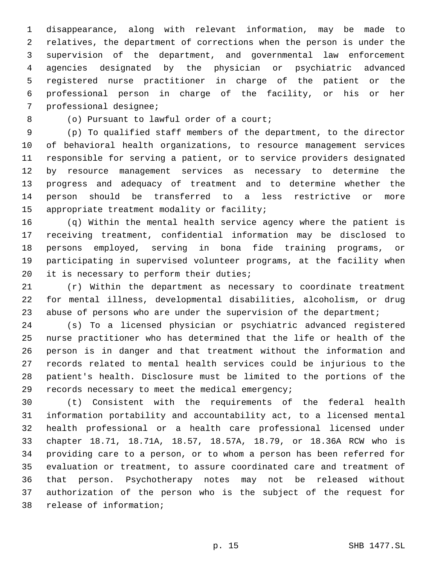disappearance, along with relevant information, may be made to relatives, the department of corrections when the person is under the supervision of the department, and governmental law enforcement agencies designated by the physician or psychiatric advanced registered nurse practitioner in charge of the patient or the professional person in charge of the facility, or his or her 7 professional designee;

8 (o) Pursuant to lawful order of a court;

 (p) To qualified staff members of the department, to the director of behavioral health organizations, to resource management services responsible for serving a patient, or to service providers designated by resource management services as necessary to determine the progress and adequacy of treatment and to determine whether the person should be transferred to a less restrictive or more 15 appropriate treatment modality or facility;

 (q) Within the mental health service agency where the patient is receiving treatment, confidential information may be disclosed to persons employed, serving in bona fide training programs, or participating in supervised volunteer programs, at the facility when 20 it is necessary to perform their duties;

 (r) Within the department as necessary to coordinate treatment for mental illness, developmental disabilities, alcoholism, or drug 23 abuse of persons who are under the supervision of the department;

 (s) To a licensed physician or psychiatric advanced registered nurse practitioner who has determined that the life or health of the person is in danger and that treatment without the information and records related to mental health services could be injurious to the patient's health. Disclosure must be limited to the portions of the 29 records necessary to meet the medical emergency;

 (t) Consistent with the requirements of the federal health information portability and accountability act, to a licensed mental health professional or a health care professional licensed under chapter 18.71, 18.71A, 18.57, 18.57A, 18.79, or 18.36A RCW who is providing care to a person, or to whom a person has been referred for evaluation or treatment, to assure coordinated care and treatment of that person. Psychotherapy notes may not be released without authorization of the person who is the subject of the request for 38 release of information;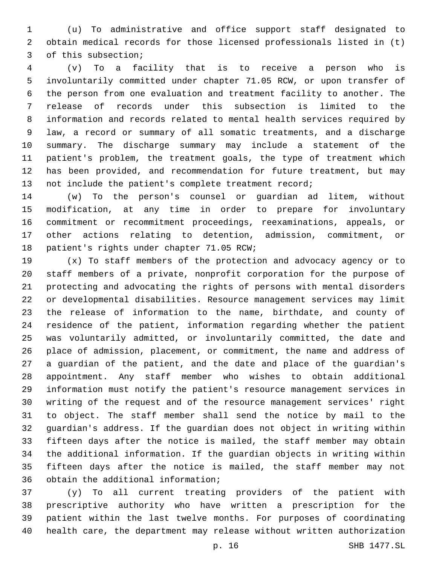(u) To administrative and office support staff designated to obtain medical records for those licensed professionals listed in (t) 3 of this subsection;

 (v) To a facility that is to receive a person who is involuntarily committed under chapter 71.05 RCW, or upon transfer of the person from one evaluation and treatment facility to another. The release of records under this subsection is limited to the information and records related to mental health services required by law, a record or summary of all somatic treatments, and a discharge summary. The discharge summary may include a statement of the patient's problem, the treatment goals, the type of treatment which has been provided, and recommendation for future treatment, but may not include the patient's complete treatment record;

 (w) To the person's counsel or guardian ad litem, without modification, at any time in order to prepare for involuntary commitment or recommitment proceedings, reexaminations, appeals, or other actions relating to detention, admission, commitment, or 18 patient's rights under chapter 71.05 RCW;

 (x) To staff members of the protection and advocacy agency or to staff members of a private, nonprofit corporation for the purpose of protecting and advocating the rights of persons with mental disorders or developmental disabilities. Resource management services may limit the release of information to the name, birthdate, and county of residence of the patient, information regarding whether the patient was voluntarily admitted, or involuntarily committed, the date and place of admission, placement, or commitment, the name and address of a guardian of the patient, and the date and place of the guardian's appointment. Any staff member who wishes to obtain additional information must notify the patient's resource management services in writing of the request and of the resource management services' right to object. The staff member shall send the notice by mail to the guardian's address. If the guardian does not object in writing within fifteen days after the notice is mailed, the staff member may obtain the additional information. If the guardian objects in writing within fifteen days after the notice is mailed, the staff member may not 36 obtain the additional information;

 (y) To all current treating providers of the patient with prescriptive authority who have written a prescription for the patient within the last twelve months. For purposes of coordinating health care, the department may release without written authorization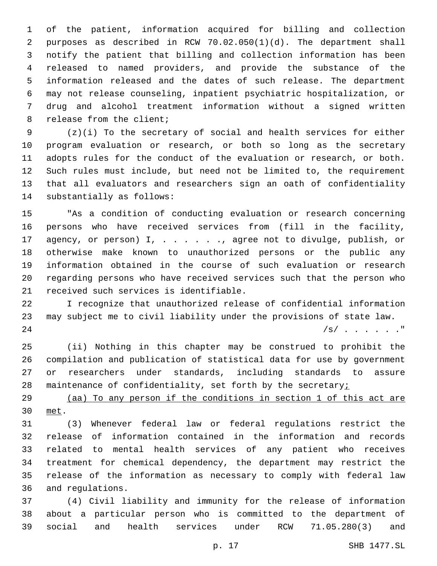of the patient, information acquired for billing and collection purposes as described in RCW 70.02.050(1)(d). The department shall notify the patient that billing and collection information has been released to named providers, and provide the substance of the information released and the dates of such release. The department may not release counseling, inpatient psychiatric hospitalization, or drug and alcohol treatment information without a signed written 8 release from the client;

 (z)(i) To the secretary of social and health services for either program evaluation or research, or both so long as the secretary adopts rules for the conduct of the evaluation or research, or both. Such rules must include, but need not be limited to, the requirement that all evaluators and researchers sign an oath of confidentiality 14 substantially as follows:

 "As a condition of conducting evaluation or research concerning persons who have received services from (fill in the facility, 17 agency, or person) I, . . . . . . , agree not to divulge, publish, or otherwise make known to unauthorized persons or the public any information obtained in the course of such evaluation or research regarding persons who have received services such that the person who 21 received such services is identifiable.

 I recognize that unauthorized release of confidential information may subject me to civil liability under the provisions of state law. /s/ . . . . . ."

 (ii) Nothing in this chapter may be construed to prohibit the compilation and publication of statistical data for use by government or researchers under standards, including standards to assure 28 maintenance of confidentiality, set forth by the secretary;

 (aa) To any person if the conditions in section 1 of this act are 30 met.

 (3) Whenever federal law or federal regulations restrict the release of information contained in the information and records related to mental health services of any patient who receives treatment for chemical dependency, the department may restrict the release of the information as necessary to comply with federal law and regulations.36

 (4) Civil liability and immunity for the release of information about a particular person who is committed to the department of social and health services under RCW 71.05.280(3) and

p. 17 SHB 1477.SL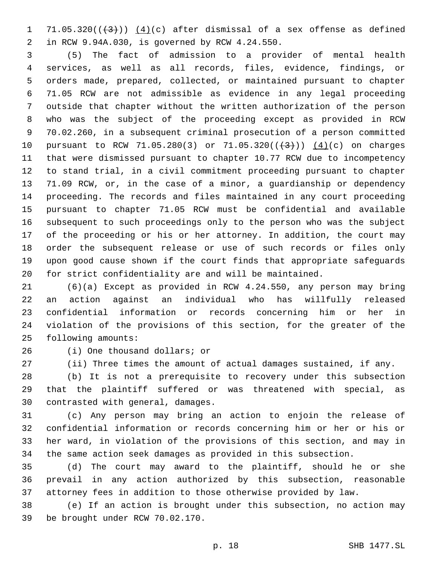1 71.05.320( $(\frac{4}{3})$ )  $(4)(c)$  after dismissal of a sex offense as defined in RCW 9.94A.030, is governed by RCW 4.24.550.2

 (5) The fact of admission to a provider of mental health services, as well as all records, files, evidence, findings, or orders made, prepared, collected, or maintained pursuant to chapter 71.05 RCW are not admissible as evidence in any legal proceeding outside that chapter without the written authorization of the person who was the subject of the proceeding except as provided in RCW 70.02.260, in a subsequent criminal prosecution of a person committed 10 pursuant to RCW 71.05.280(3) or 71.05.320( $(\frac{4}{3})$ )  $(4)(c)$  on charges that were dismissed pursuant to chapter 10.77 RCW due to incompetency to stand trial, in a civil commitment proceeding pursuant to chapter 71.09 RCW, or, in the case of a minor, a guardianship or dependency proceeding. The records and files maintained in any court proceeding pursuant to chapter 71.05 RCW must be confidential and available subsequent to such proceedings only to the person who was the subject of the proceeding or his or her attorney. In addition, the court may order the subsequent release or use of such records or files only upon good cause shown if the court finds that appropriate safeguards for strict confidentiality are and will be maintained.

 (6)(a) Except as provided in RCW 4.24.550, any person may bring an action against an individual who has willfully released confidential information or records concerning him or her in violation of the provisions of this section, for the greater of the 25 following amounts:

26 (i) One thousand dollars; or

(ii) Three times the amount of actual damages sustained, if any.

 (b) It is not a prerequisite to recovery under this subsection that the plaintiff suffered or was threatened with special, as 30 contrasted with general, damages.

 (c) Any person may bring an action to enjoin the release of confidential information or records concerning him or her or his or her ward, in violation of the provisions of this section, and may in the same action seek damages as provided in this subsection.

 (d) The court may award to the plaintiff, should he or she prevail in any action authorized by this subsection, reasonable attorney fees in addition to those otherwise provided by law.

 (e) If an action is brought under this subsection, no action may 39 be brought under RCW 70.02.170.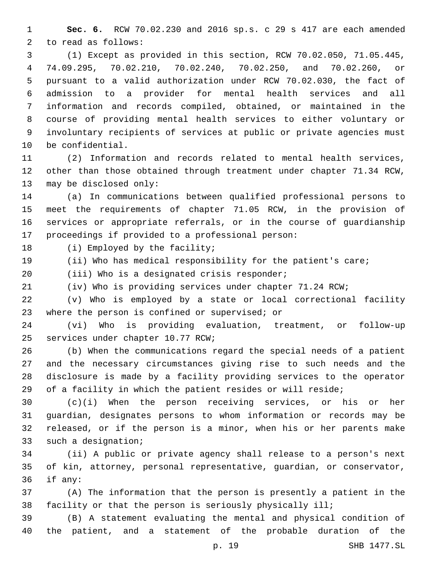**Sec. 6.** RCW 70.02.230 and 2016 sp.s. c 29 s 417 are each amended 2 to read as follows:

 (1) Except as provided in this section, RCW 70.02.050, 71.05.445, 74.09.295, 70.02.210, 70.02.240, 70.02.250, and 70.02.260, or pursuant to a valid authorization under RCW 70.02.030, the fact of admission to a provider for mental health services and all information and records compiled, obtained, or maintained in the course of providing mental health services to either voluntary or involuntary recipients of services at public or private agencies must 10 be confidential.

 (2) Information and records related to mental health services, other than those obtained through treatment under chapter 71.34 RCW, 13 may be disclosed only:

 (a) In communications between qualified professional persons to meet the requirements of chapter 71.05 RCW, in the provision of services or appropriate referrals, or in the course of guardianship 17 proceedings if provided to a professional person:

18 (i) Employed by the facility;

(ii) Who has medical responsibility for the patient's care;

20 (iii) Who is a designated crisis responder;

(iv) Who is providing services under chapter 71.24 RCW;

 (v) Who is employed by a state or local correctional facility 23 where the person is confined or supervised; or

 (vi) Who is providing evaluation, treatment, or follow-up 25 services under chapter 10.77 RCW;

 (b) When the communications regard the special needs of a patient and the necessary circumstances giving rise to such needs and the disclosure is made by a facility providing services to the operator of a facility in which the patient resides or will reside;

 (c)(i) When the person receiving services, or his or her guardian, designates persons to whom information or records may be released, or if the person is a minor, when his or her parents make 33 such a designation;

 (ii) A public or private agency shall release to a person's next of kin, attorney, personal representative, guardian, or conservator, 36 if any:

 (A) The information that the person is presently a patient in the facility or that the person is seriously physically ill;

 (B) A statement evaluating the mental and physical condition of the patient, and a statement of the probable duration of the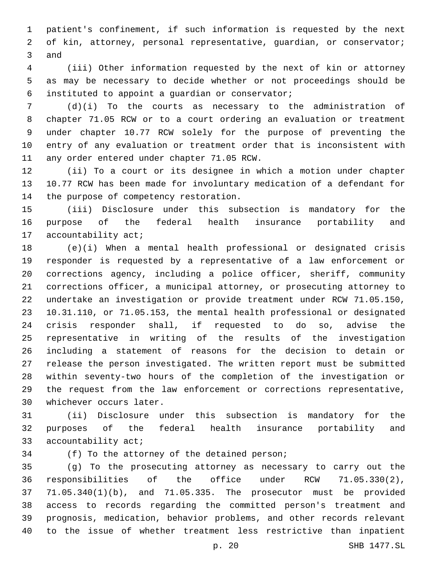patient's confinement, if such information is requested by the next of kin, attorney, personal representative, guardian, or conservator; 3 and

 (iii) Other information requested by the next of kin or attorney as may be necessary to decide whether or not proceedings should be instituted to appoint a guardian or conservator;6

 (d)(i) To the courts as necessary to the administration of chapter 71.05 RCW or to a court ordering an evaluation or treatment under chapter 10.77 RCW solely for the purpose of preventing the entry of any evaluation or treatment order that is inconsistent with 11 any order entered under chapter 71.05 RCW.

 (ii) To a court or its designee in which a motion under chapter 10.77 RCW has been made for involuntary medication of a defendant for 14 the purpose of competency restoration.

 (iii) Disclosure under this subsection is mandatory for the purpose of the federal health insurance portability and 17 accountability act;

 (e)(i) When a mental health professional or designated crisis responder is requested by a representative of a law enforcement or corrections agency, including a police officer, sheriff, community corrections officer, a municipal attorney, or prosecuting attorney to undertake an investigation or provide treatment under RCW 71.05.150, 10.31.110, or 71.05.153, the mental health professional or designated crisis responder shall, if requested to do so, advise the representative in writing of the results of the investigation including a statement of reasons for the decision to detain or release the person investigated. The written report must be submitted within seventy-two hours of the completion of the investigation or the request from the law enforcement or corrections representative, 30 whichever occurs later.

 (ii) Disclosure under this subsection is mandatory for the purposes of the federal health insurance portability and 33 accountability act;

34 (f) To the attorney of the detained person;

 (g) To the prosecuting attorney as necessary to carry out the responsibilities of the office under RCW 71.05.330(2), 71.05.340(1)(b), and 71.05.335. The prosecutor must be provided access to records regarding the committed person's treatment and prognosis, medication, behavior problems, and other records relevant to the issue of whether treatment less restrictive than inpatient

p. 20 SHB 1477.SL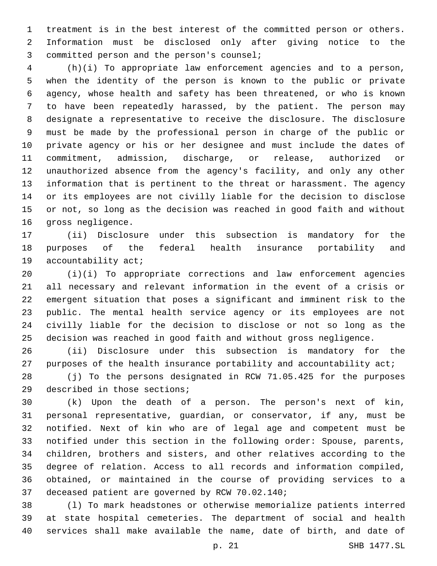treatment is in the best interest of the committed person or others. Information must be disclosed only after giving notice to the 3 committed person and the person's counsel;

 (h)(i) To appropriate law enforcement agencies and to a person, when the identity of the person is known to the public or private agency, whose health and safety has been threatened, or who is known to have been repeatedly harassed, by the patient. The person may designate a representative to receive the disclosure. The disclosure must be made by the professional person in charge of the public or private agency or his or her designee and must include the dates of commitment, admission, discharge, or release, authorized or unauthorized absence from the agency's facility, and only any other information that is pertinent to the threat or harassment. The agency or its employees are not civilly liable for the decision to disclose or not, so long as the decision was reached in good faith and without 16 gross negligence.

 (ii) Disclosure under this subsection is mandatory for the purposes of the federal health insurance portability and 19 accountability act;

 (i)(i) To appropriate corrections and law enforcement agencies all necessary and relevant information in the event of a crisis or emergent situation that poses a significant and imminent risk to the public. The mental health service agency or its employees are not civilly liable for the decision to disclose or not so long as the decision was reached in good faith and without gross negligence.

 (ii) Disclosure under this subsection is mandatory for the 27 purposes of the health insurance portability and accountability act;

 (j) To the persons designated in RCW 71.05.425 for the purposes 29 described in those sections;

 (k) Upon the death of a person. The person's next of kin, personal representative, guardian, or conservator, if any, must be notified. Next of kin who are of legal age and competent must be notified under this section in the following order: Spouse, parents, children, brothers and sisters, and other relatives according to the degree of relation. Access to all records and information compiled, obtained, or maintained in the course of providing services to a 37 deceased patient are governed by RCW 70.02.140;

 (l) To mark headstones or otherwise memorialize patients interred at state hospital cemeteries. The department of social and health services shall make available the name, date of birth, and date of

p. 21 SHB 1477.SL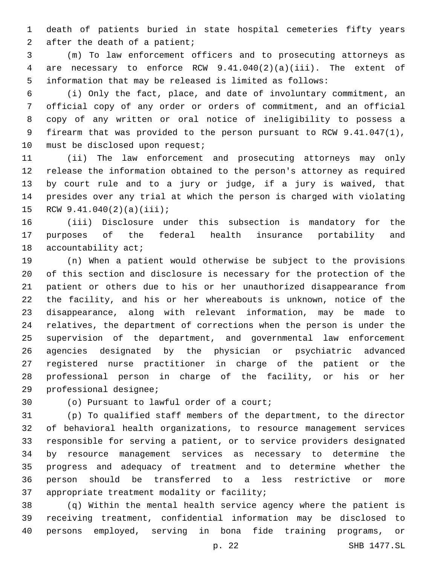death of patients buried in state hospital cemeteries fifty years 2 after the death of a patient;

 (m) To law enforcement officers and to prosecuting attorneys as are necessary to enforce RCW 9.41.040(2)(a)(iii). The extent of information that may be released is limited as follows:

 (i) Only the fact, place, and date of involuntary commitment, an official copy of any order or orders of commitment, and an official copy of any written or oral notice of ineligibility to possess a firearm that was provided to the person pursuant to RCW 9.41.047(1), 10 must be disclosed upon request;

 (ii) The law enforcement and prosecuting attorneys may only release the information obtained to the person's attorney as required by court rule and to a jury or judge, if a jury is waived, that presides over any trial at which the person is charged with violating 15 RCW  $9.41.040(2)(a)(iii)$ ;

 (iii) Disclosure under this subsection is mandatory for the purposes of the federal health insurance portability and 18 accountability act;

 (n) When a patient would otherwise be subject to the provisions of this section and disclosure is necessary for the protection of the patient or others due to his or her unauthorized disappearance from the facility, and his or her whereabouts is unknown, notice of the disappearance, along with relevant information, may be made to relatives, the department of corrections when the person is under the supervision of the department, and governmental law enforcement agencies designated by the physician or psychiatric advanced registered nurse practitioner in charge of the patient or the professional person in charge of the facility, or his or her 29 professional designee;

30 (o) Pursuant to lawful order of a court;

 (p) To qualified staff members of the department, to the director of behavioral health organizations, to resource management services responsible for serving a patient, or to service providers designated by resource management services as necessary to determine the progress and adequacy of treatment and to determine whether the person should be transferred to a less restrictive or more 37 appropriate treatment modality or facility;

 (q) Within the mental health service agency where the patient is receiving treatment, confidential information may be disclosed to persons employed, serving in bona fide training programs, or

p. 22 SHB 1477.SL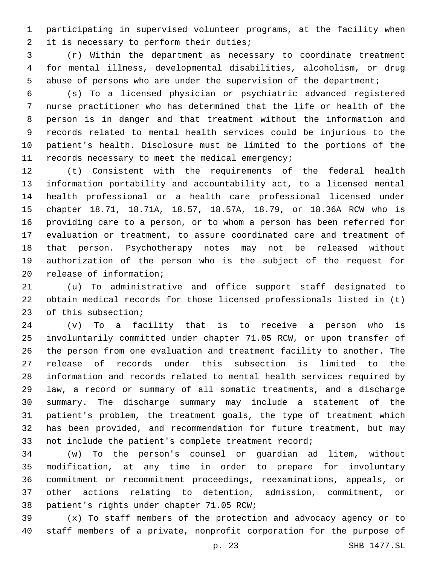participating in supervised volunteer programs, at the facility when 2 it is necessary to perform their duties;

 (r) Within the department as necessary to coordinate treatment for mental illness, developmental disabilities, alcoholism, or drug abuse of persons who are under the supervision of the department;

 (s) To a licensed physician or psychiatric advanced registered nurse practitioner who has determined that the life or health of the person is in danger and that treatment without the information and records related to mental health services could be injurious to the patient's health. Disclosure must be limited to the portions of the 11 records necessary to meet the medical emergency;

 (t) Consistent with the requirements of the federal health information portability and accountability act, to a licensed mental health professional or a health care professional licensed under chapter 18.71, 18.71A, 18.57, 18.57A, 18.79, or 18.36A RCW who is providing care to a person, or to whom a person has been referred for evaluation or treatment, to assure coordinated care and treatment of that person. Psychotherapy notes may not be released without authorization of the person who is the subject of the request for 20 release of information;

 (u) To administrative and office support staff designated to obtain medical records for those licensed professionals listed in (t) 23 of this subsection;

 (v) To a facility that is to receive a person who is involuntarily committed under chapter 71.05 RCW, or upon transfer of the person from one evaluation and treatment facility to another. The release of records under this subsection is limited to the information and records related to mental health services required by law, a record or summary of all somatic treatments, and a discharge summary. The discharge summary may include a statement of the patient's problem, the treatment goals, the type of treatment which has been provided, and recommendation for future treatment, but may not include the patient's complete treatment record;

 (w) To the person's counsel or guardian ad litem, without modification, at any time in order to prepare for involuntary commitment or recommitment proceedings, reexaminations, appeals, or other actions relating to detention, admission, commitment, or 38 patient's rights under chapter 71.05 RCW;

 (x) To staff members of the protection and advocacy agency or to staff members of a private, nonprofit corporation for the purpose of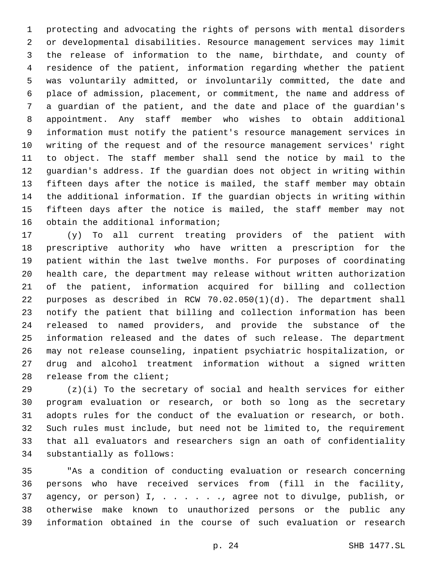protecting and advocating the rights of persons with mental disorders or developmental disabilities. Resource management services may limit the release of information to the name, birthdate, and county of residence of the patient, information regarding whether the patient was voluntarily admitted, or involuntarily committed, the date and place of admission, placement, or commitment, the name and address of a guardian of the patient, and the date and place of the guardian's appointment. Any staff member who wishes to obtain additional information must notify the patient's resource management services in writing of the request and of the resource management services' right to object. The staff member shall send the notice by mail to the guardian's address. If the guardian does not object in writing within fifteen days after the notice is mailed, the staff member may obtain the additional information. If the guardian objects in writing within fifteen days after the notice is mailed, the staff member may not 16 obtain the additional information;

 (y) To all current treating providers of the patient with prescriptive authority who have written a prescription for the patient within the last twelve months. For purposes of coordinating health care, the department may release without written authorization of the patient, information acquired for billing and collection purposes as described in RCW 70.02.050(1)(d). The department shall notify the patient that billing and collection information has been released to named providers, and provide the substance of the information released and the dates of such release. The department may not release counseling, inpatient psychiatric hospitalization, or drug and alcohol treatment information without a signed written 28 release from the client;

 (z)(i) To the secretary of social and health services for either program evaluation or research, or both so long as the secretary adopts rules for the conduct of the evaluation or research, or both. Such rules must include, but need not be limited to, the requirement that all evaluators and researchers sign an oath of confidentiality 34 substantially as follows:

 "As a condition of conducting evaluation or research concerning persons who have received services from (fill in the facility, agency, or person) I, . . . . . ., agree not to divulge, publish, or otherwise make known to unauthorized persons or the public any information obtained in the course of such evaluation or research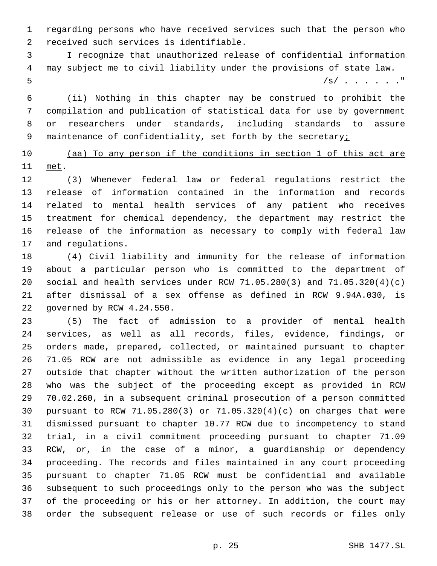regarding persons who have received services such that the person who 2 received such services is identifiable.

 I recognize that unauthorized release of confidential information may subject me to civil liability under the provisions of state law. /s/ . . . . . ."

 (ii) Nothing in this chapter may be construed to prohibit the compilation and publication of statistical data for use by government or researchers under standards, including standards to assure 9 maintenance of confidentiality, set forth by the secretary;

 (aa) To any person if the conditions in section 1 of this act are 11 met.

 (3) Whenever federal law or federal regulations restrict the release of information contained in the information and records related to mental health services of any patient who receives treatment for chemical dependency, the department may restrict the release of the information as necessary to comply with federal law 17 and regulations.

 (4) Civil liability and immunity for the release of information about a particular person who is committed to the department of social and health services under RCW 71.05.280(3) and 71.05.320(4)(c) after dismissal of a sex offense as defined in RCW 9.94A.030, is 22 governed by RCW 4.24.550.

 (5) The fact of admission to a provider of mental health services, as well as all records, files, evidence, findings, or orders made, prepared, collected, or maintained pursuant to chapter 71.05 RCW are not admissible as evidence in any legal proceeding outside that chapter without the written authorization of the person who was the subject of the proceeding except as provided in RCW 70.02.260, in a subsequent criminal prosecution of a person committed pursuant to RCW 71.05.280(3) or 71.05.320(4)(c) on charges that were dismissed pursuant to chapter 10.77 RCW due to incompetency to stand trial, in a civil commitment proceeding pursuant to chapter 71.09 RCW, or, in the case of a minor, a guardianship or dependency proceeding. The records and files maintained in any court proceeding pursuant to chapter 71.05 RCW must be confidential and available subsequent to such proceedings only to the person who was the subject of the proceeding or his or her attorney. In addition, the court may order the subsequent release or use of such records or files only

p. 25 SHB 1477.SL